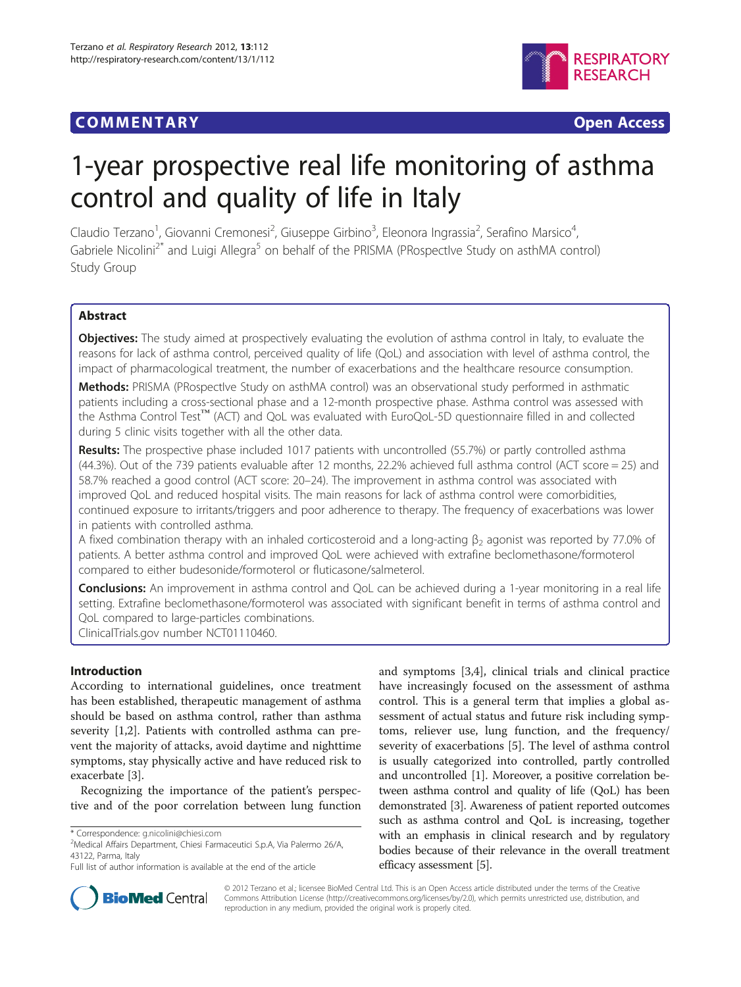# **COMMENTARY COMMENTARY Open Access**



# 1-year prospective real life monitoring of asthma control and quality of life in Italy

Claudio Terzano<sup>1</sup>, Giovanni Cremonesi<sup>2</sup>, Giuseppe Girbino<sup>3</sup>, Eleonora Ingrassia<sup>2</sup>, Serafino Marsico<sup>4</sup> , Gabriele Nicolini<sup>2\*</sup> and Luigi Allegra<sup>5</sup> on behalf of the PRISMA (PRospective Study on asthMA control) Study Group

# Abstract

**Objectives:** The study aimed at prospectively evaluating the evolution of asthma control in Italy, to evaluate the reasons for lack of asthma control, perceived quality of life (QoL) and association with level of asthma control, the impact of pharmacological treatment, the number of exacerbations and the healthcare resource consumption.

Methods: PRISMA (PRospective Study on asthMA control) was an observational study performed in asthmatic patients including a cross-sectional phase and a 12-month prospective phase. Asthma control was assessed with the Asthma Control Test™ (ACT) and QoL was evaluated with EuroQoL-5D questionnaire filled in and collected during 5 clinic visits together with all the other data.

Results: The prospective phase included 1017 patients with uncontrolled (55.7%) or partly controlled asthma (44.3%). Out of the 739 patients evaluable after 12 months, 22.2% achieved full asthma control (ACT score = 25) and 58.7% reached a good control (ACT score: 20–24). The improvement in asthma control was associated with improved QoL and reduced hospital visits. The main reasons for lack of asthma control were comorbidities, continued exposure to irritants/triggers and poor adherence to therapy. The frequency of exacerbations was lower in patients with controlled asthma.

A fixed combination therapy with an inhaled corticosteroid and a long-acting  $\beta_2$  agonist was reported by 77.0% of patients. A better asthma control and improved QoL were achieved with extrafine beclomethasone/formoterol compared to either budesonide/formoterol or fluticasone/salmeterol.

Conclusions: An improvement in asthma control and QoL can be achieved during a 1-year monitoring in a real life setting. Extrafine beclomethasone/formoterol was associated with significant benefit in terms of asthma control and QoL compared to large-particles combinations.

ClinicalTrials.gov number NCT01110460.

# Introduction

According to international guidelines, once treatment has been established, therapeutic management of asthma should be based on asthma control, rather than asthma severity [\[1,2](#page-9-0)]. Patients with controlled asthma can prevent the majority of attacks, avoid daytime and nighttime symptoms, stay physically active and have reduced risk to exacerbate [[3\]](#page-9-0).

Recognizing the importance of the patient's perspective and of the poor correlation between lung function

and symptoms [[3,4\]](#page-9-0), clinical trials and clinical practice have increasingly focused on the assessment of asthma control. This is a general term that implies a global assessment of actual status and future risk including symptoms, reliever use, lung function, and the frequency/ severity of exacerbations [[5\]](#page-9-0). The level of asthma control is usually categorized into controlled, partly controlled and uncontrolled [\[1](#page-9-0)]. Moreover, a positive correlation between asthma control and quality of life (QoL) has been demonstrated [\[3\]](#page-9-0). Awareness of patient reported outcomes such as asthma control and QoL is increasing, together with an emphasis in clinical research and by regulatory bodies because of their relevance in the overall treatment efficacy assessment [[5\]](#page-9-0).



© 2012 Terzano et al.; licensee BioMed Central Ltd. This is an Open Access article distributed under the terms of the Creative Commons Attribution License [\(http://creativecommons.org/licenses/by/2.0\)](http://creativecommons.org/licenses/by/2.0), which permits unrestricted use, distribution, and reproduction in any medium, provided the original work is properly cited.

<sup>\*</sup> Correspondence: [g.nicolini@chiesi.com](mailto:g.nicolini@chiesi.com) <sup>2</sup>

<sup>&</sup>lt;sup>2</sup>Medical Affairs Department, Chiesi Farmaceutici S.p.A, Via Palermo 26/A, 43122, Parma, Italy

Full list of author information is available at the end of the article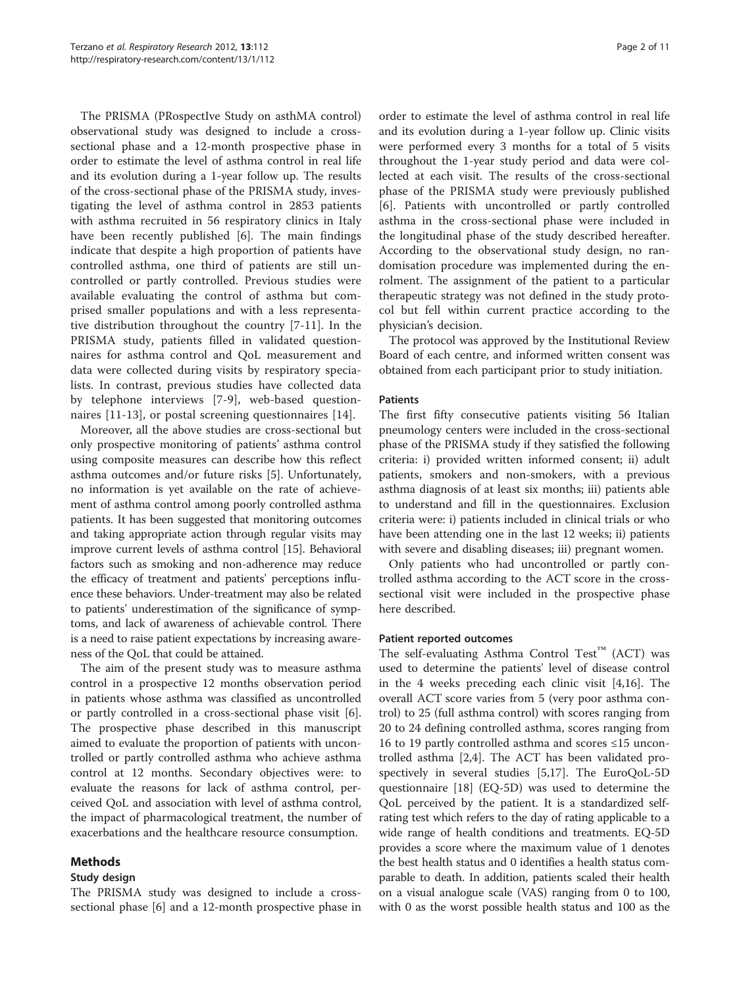The PRISMA (PRospectIve Study on asthMA control) observational study was designed to include a crosssectional phase and a 12-month prospective phase in order to estimate the level of asthma control in real life and its evolution during a 1-year follow up. The results of the cross-sectional phase of the PRISMA study, investigating the level of asthma control in 2853 patients with asthma recruited in 56 respiratory clinics in Italy have been recently published [\[6](#page-9-0)]. The main findings indicate that despite a high proportion of patients have controlled asthma, one third of patients are still uncontrolled or partly controlled. Previous studies were available evaluating the control of asthma but comprised smaller populations and with a less representative distribution throughout the country [\[7](#page-9-0)-[11\]](#page-9-0). In the PRISMA study, patients filled in validated questionnaires for asthma control and QoL measurement and data were collected during visits by respiratory specialists. In contrast, previous studies have collected data by telephone interviews [\[7](#page-9-0)-[9\]](#page-9-0), web-based questionnaires [[11-13\]](#page-9-0), or postal screening questionnaires [\[14](#page-9-0)].

Moreover, all the above studies are cross-sectional but only prospective monitoring of patients' asthma control using composite measures can describe how this reflect asthma outcomes and/or future risks [[5](#page-9-0)]. Unfortunately, no information is yet available on the rate of achievement of asthma control among poorly controlled asthma patients. It has been suggested that monitoring outcomes and taking appropriate action through regular visits may improve current levels of asthma control [\[15](#page-9-0)]. Behavioral factors such as smoking and non-adherence may reduce the efficacy of treatment and patients' perceptions influence these behaviors. Under-treatment may also be related to patients' underestimation of the significance of symptoms, and lack of awareness of achievable control. There is a need to raise patient expectations by increasing awareness of the QoL that could be attained.

The aim of the present study was to measure asthma control in a prospective 12 months observation period in patients whose asthma was classified as uncontrolled or partly controlled in a cross-sectional phase visit [\[6](#page-9-0)]. The prospective phase described in this manuscript aimed to evaluate the proportion of patients with uncontrolled or partly controlled asthma who achieve asthma control at 12 months. Secondary objectives were: to evaluate the reasons for lack of asthma control, perceived QoL and association with level of asthma control, the impact of pharmacological treatment, the number of exacerbations and the healthcare resource consumption.

# Methods

#### Study design

The PRISMA study was designed to include a crosssectional phase [\[6](#page-9-0)] and a 12-month prospective phase in

order to estimate the level of asthma control in real life and its evolution during a 1-year follow up. Clinic visits were performed every 3 months for a total of 5 visits throughout the 1-year study period and data were collected at each visit. The results of the cross-sectional phase of the PRISMA study were previously published [[6\]](#page-9-0). Patients with uncontrolled or partly controlled asthma in the cross-sectional phase were included in the longitudinal phase of the study described hereafter. According to the observational study design, no randomisation procedure was implemented during the enrolment. The assignment of the patient to a particular therapeutic strategy was not defined in the study protocol but fell within current practice according to the physician's decision.

The protocol was approved by the Institutional Review Board of each centre, and informed written consent was obtained from each participant prior to study initiation.

### **Patients**

The first fifty consecutive patients visiting 56 Italian pneumology centers were included in the cross-sectional phase of the PRISMA study if they satisfied the following criteria: i) provided written informed consent; ii) adult patients, smokers and non-smokers, with a previous asthma diagnosis of at least six months; iii) patients able to understand and fill in the questionnaires. Exclusion criteria were: i) patients included in clinical trials or who have been attending one in the last 12 weeks; ii) patients with severe and disabling diseases; iii) pregnant women.

Only patients who had uncontrolled or partly controlled asthma according to the ACT score in the crosssectional visit were included in the prospective phase here described.

#### Patient reported outcomes

The self-evaluating Asthma Control Test<sup>™</sup> (ACT) was used to determine the patients' level of disease control in the 4 weeks preceding each clinic visit [\[4,16](#page-9-0)]. The overall ACT score varies from 5 (very poor asthma control) to 25 (full asthma control) with scores ranging from 20 to 24 defining controlled asthma, scores ranging from 16 to 19 partly controlled asthma and scores ≤15 uncontrolled asthma [\[2](#page-9-0),[4](#page-9-0)]. The ACT has been validated prospectively in several studies [[5,17\]](#page-9-0). The EuroQoL-5D questionnaire [[18\]](#page-9-0) (EQ-5D) was used to determine the QoL perceived by the patient. It is a standardized selfrating test which refers to the day of rating applicable to a wide range of health conditions and treatments. EQ-5D provides a score where the maximum value of 1 denotes the best health status and 0 identifies a health status comparable to death. In addition, patients scaled their health on a visual analogue scale (VAS) ranging from 0 to 100, with 0 as the worst possible health status and 100 as the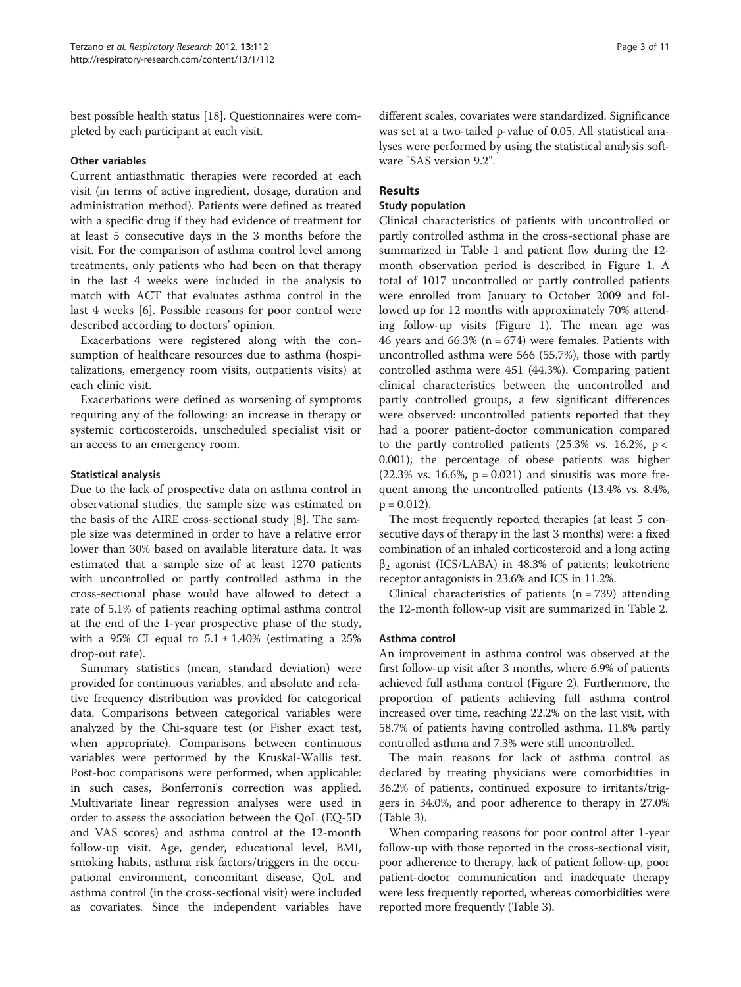best possible health status [[18](#page-9-0)]. Questionnaires were completed by each participant at each visit.

#### Other variables

Current antiasthmatic therapies were recorded at each visit (in terms of active ingredient, dosage, duration and administration method). Patients were defined as treated with a specific drug if they had evidence of treatment for at least 5 consecutive days in the 3 months before the visit. For the comparison of asthma control level among treatments, only patients who had been on that therapy in the last 4 weeks were included in the analysis to match with ACT that evaluates asthma control in the last 4 weeks [[6](#page-9-0)]. Possible reasons for poor control were described according to doctors' opinion.

Exacerbations were registered along with the consumption of healthcare resources due to asthma (hospitalizations, emergency room visits, outpatients visits) at each clinic visit.

Exacerbations were defined as worsening of symptoms requiring any of the following: an increase in therapy or systemic corticosteroids, unscheduled specialist visit or an access to an emergency room.

### Statistical analysis

Due to the lack of prospective data on asthma control in observational studies, the sample size was estimated on the basis of the AIRE cross-sectional study [\[8](#page-9-0)]. The sample size was determined in order to have a relative error lower than 30% based on available literature data. It was estimated that a sample size of at least 1270 patients with uncontrolled or partly controlled asthma in the cross-sectional phase would have allowed to detect a rate of 5.1% of patients reaching optimal asthma control at the end of the 1-year prospective phase of the study, with a 95% CI equal to  $5.1 \pm 1.40\%$  (estimating a 25% drop-out rate).

Summary statistics (mean, standard deviation) were provided for continuous variables, and absolute and relative frequency distribution was provided for categorical data. Comparisons between categorical variables were analyzed by the Chi-square test (or Fisher exact test, when appropriate). Comparisons between continuous variables were performed by the Kruskal-Wallis test. Post-hoc comparisons were performed, when applicable: in such cases, Bonferroni's correction was applied. Multivariate linear regression analyses were used in order to assess the association between the QoL (EQ-5D and VAS scores) and asthma control at the 12-month follow-up visit. Age, gender, educational level, BMI, smoking habits, asthma risk factors/triggers in the occupational environment, concomitant disease, QoL and asthma control (in the cross-sectional visit) were included as covariates. Since the independent variables have different scales, covariates were standardized. Significance was set at a two-tailed p-value of 0.05. All statistical analyses were performed by using the statistical analysis software "SAS version 9.2".

# Results

### Study population

Clinical characteristics of patients with uncontrolled or partly controlled asthma in the cross-sectional phase are summarized in Table [1](#page-3-0) and patient flow during the 12 month observation period is described in Figure [1](#page-4-0). A total of 1017 uncontrolled or partly controlled patients were enrolled from January to October 2009 and followed up for 12 months with approximately 70% attending follow-up visits (Figure [1\)](#page-4-0). The mean age was 46 years and 66.3% ( $n = 674$ ) were females. Patients with uncontrolled asthma were 566 (55.7%), those with partly controlled asthma were 451 (44.3%). Comparing patient clinical characteristics between the uncontrolled and partly controlled groups, a few significant differences were observed: uncontrolled patients reported that they had a poorer patient-doctor communication compared to the partly controlled patients (25.3% vs. 16.2%,  $p <$ 0.001); the percentage of obese patients was higher  $(22.3\% \text{ vs. } 16.6\%, \text{ p} = 0.021)$  and sinusitis was more frequent among the uncontrolled patients (13.4% vs. 8.4%,  $p = 0.012$ .

The most frequently reported therapies (at least 5 consecutive days of therapy in the last 3 months) were: a fixed combination of an inhaled corticosteroid and a long acting  $β<sub>2</sub>$  agonist (ICS/LABA) in 48.3% of patients; leukotriene receptor antagonists in 23.6% and ICS in 11.2%.

Clinical characteristics of patients  $(n = 739)$  attending the 12-month follow-up visit are summarized in Table [2.](#page-5-0)

# Asthma control

An improvement in asthma control was observed at the first follow-up visit after 3 months, where 6.9% of patients achieved full asthma control (Figure [2\)](#page-5-0). Furthermore, the proportion of patients achieving full asthma control increased over time, reaching 22.2% on the last visit, with 58.7% of patients having controlled asthma, 11.8% partly controlled asthma and 7.3% were still uncontrolled.

The main reasons for lack of asthma control as declared by treating physicians were comorbidities in 36.2% of patients, continued exposure to irritants/triggers in 34.0%, and poor adherence to therapy in 27.0% (Table [3\)](#page-6-0).

When comparing reasons for poor control after 1-year follow-up with those reported in the cross-sectional visit, poor adherence to therapy, lack of patient follow-up, poor patient-doctor communication and inadequate therapy were less frequently reported, whereas comorbidities were reported more frequently (Table [3\)](#page-6-0).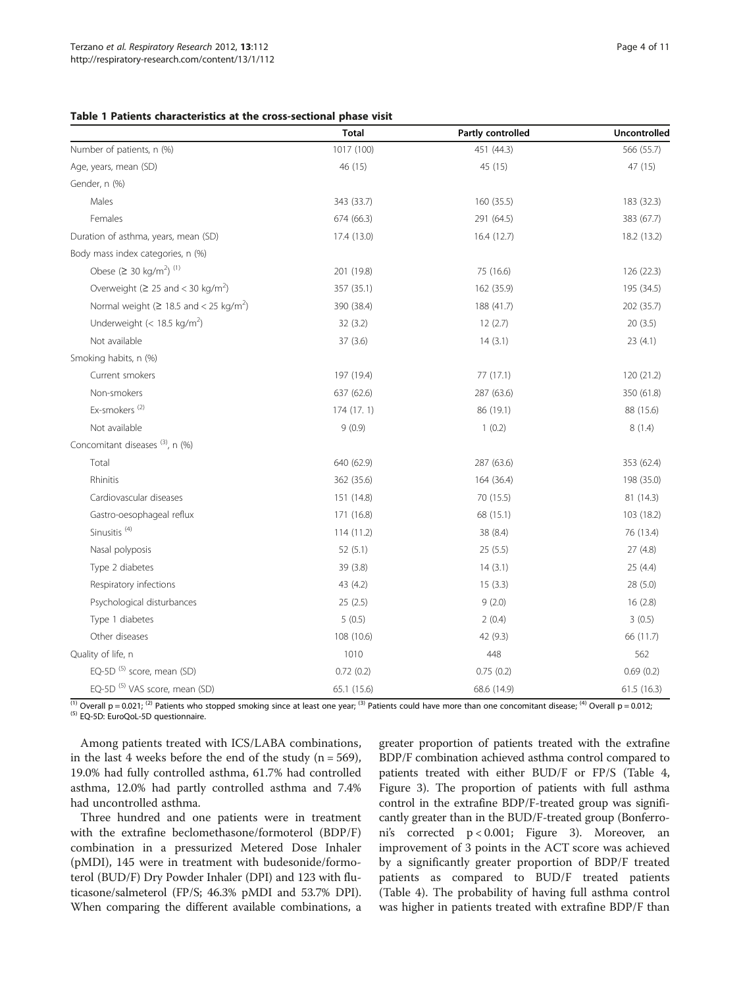#### <span id="page-3-0"></span>Table 1 Patients characteristics at the cross-sectional phase visit

|                                                          | <b>Total</b> | <b>Partly controlled</b> | Uncontrolled |
|----------------------------------------------------------|--------------|--------------------------|--------------|
| Number of patients, n (%)                                | 1017 (100)   | 451 (44.3)               | 566 (55.7)   |
| Age, years, mean (SD)                                    | 46 (15)      | 45 (15)                  | 47 (15)      |
| Gender, n (%)                                            |              |                          |              |
| Males                                                    | 343 (33.7)   | 160 (35.5)               | 183 (32.3)   |
| Females                                                  | 674 (66.3)   | 291 (64.5)               | 383 (67.7)   |
| Duration of asthma, years, mean (SD)                     | 17.4 (13.0)  | 16.4 (12.7)              | 18.2 (13.2)  |
| Body mass index categories, n (%)                        |              |                          |              |
| Obese ( $\geq 30$ kg/m <sup>2</sup> ) <sup>(1)</sup>     | 201 (19.8)   | 75 (16.6)                | 126 (22.3)   |
| Overweight ( $\geq 25$ and < 30 kg/m <sup>2</sup> )      | 357 (35.1)   | 162 (35.9)               | 195 (34.5)   |
| Normal weight ( $\geq$ 18.5 and < 25 kg/m <sup>2</sup> ) | 390 (38.4)   | 188 (41.7)               | 202 (35.7)   |
| Underweight (< 18.5 kg/m <sup>2</sup> )                  | 32(3.2)      | 12(2.7)                  | 20(3.5)      |
| Not available                                            | 37(3.6)      | 14(3.1)                  | 23(4.1)      |
| Smoking habits, n (%)                                    |              |                          |              |
| Current smokers                                          | 197 (19.4)   | 77(17.1)                 | 120 (21.2)   |
| Non-smokers                                              | 637 (62.6)   | 287 (63.6)               | 350 (61.8)   |
| Ex-smokers <sup>(2)</sup>                                | 174(17.1)    | 86 (19.1)                | 88 (15.6)    |
| Not available                                            | 9(0.9)       | 1(0.2)                   | 8(1.4)       |
| Concomitant diseases (3), n (%)                          |              |                          |              |
| Total                                                    | 640 (62.9)   | 287 (63.6)               | 353 (62.4)   |
| Rhinitis                                                 | 362 (35.6)   | 164 (36.4)               | 198 (35.0)   |
| Cardiovascular diseases                                  | 151 (14.8)   | 70 (15.5)                | 81 (14.3)    |
| Gastro-oesophageal reflux                                | 171 (16.8)   | 68 (15.1)                | 103 (18.2)   |
| Sinusitis <sup>(4)</sup>                                 | 114(11.2)    | 38 (8.4)                 | 76 (13.4)    |
| Nasal polyposis                                          | 52(5.1)      | 25(5.5)                  | 27 (4.8)     |
| Type 2 diabetes                                          | 39 (3.8)     | 14(3.1)                  | 25(4.4)      |
| Respiratory infections                                   | 43 (4.2)     | 15(3.3)                  | 28(5.0)      |
| Psychological disturbances                               | 25 (2.5)     | 9(2.0)                   | 16(2.8)      |
| Type 1 diabetes                                          | 5(0.5)       | 2(0.4)                   | 3(0.5)       |
| Other diseases                                           | 108 (10.6)   | 42 (9.3)                 | 66 (11.7)    |
| Quality of life, n                                       | 1010         | 448                      | 562          |
| EQ-5D <sup>(5)</sup> score, mean (SD)                    | 0.72(0.2)    | 0.75(0.2)                | 0.69(0.2)    |
| EQ-5D <sup>(5)</sup> VAS score, mean (SD)                | 65.1 (15.6)  | 68.6 (14.9)              | 61.5 (16.3)  |

(1) Overall p = 0.021; <sup>(2)</sup> Patients who stopped smoking since at least one year; <sup>(3)</sup> Patients could have more than one concomitant disease; <sup>(4)</sup> Overall p = 0.012; <sup>(5)</sup> EQ-5D: EuroQoL-5D questionnaire.

Among patients treated with ICS/LABA combinations, in the last 4 weeks before the end of the study  $(n = 569)$ , 19.0% had fully controlled asthma, 61.7% had controlled asthma, 12.0% had partly controlled asthma and 7.4% had uncontrolled asthma.

Three hundred and one patients were in treatment with the extrafine beclomethasone/formoterol (BDP/F) combination in a pressurized Metered Dose Inhaler (pMDI), 145 were in treatment with budesonide/formoterol (BUD/F) Dry Powder Inhaler (DPI) and 123 with fluticasone/salmeterol (FP/S; 46.3% pMDI and 53.7% DPI). When comparing the different available combinations, a

greater proportion of patients treated with the extrafine BDP/F combination achieved asthma control compared to patients treated with either BUD/F or FP/S (Table [4](#page-6-0), Figure [3\)](#page-7-0). The proportion of patients with full asthma control in the extrafine BDP/F-treated group was significantly greater than in the BUD/F-treated group (Bonferroni's corrected p < 0.001; Figure [3\)](#page-7-0). Moreover, an improvement of 3 points in the ACT score was achieved by a significantly greater proportion of BDP/F treated patients as compared to BUD/F treated patients (Table [4\)](#page-6-0). The probability of having full asthma control was higher in patients treated with extrafine BDP/F than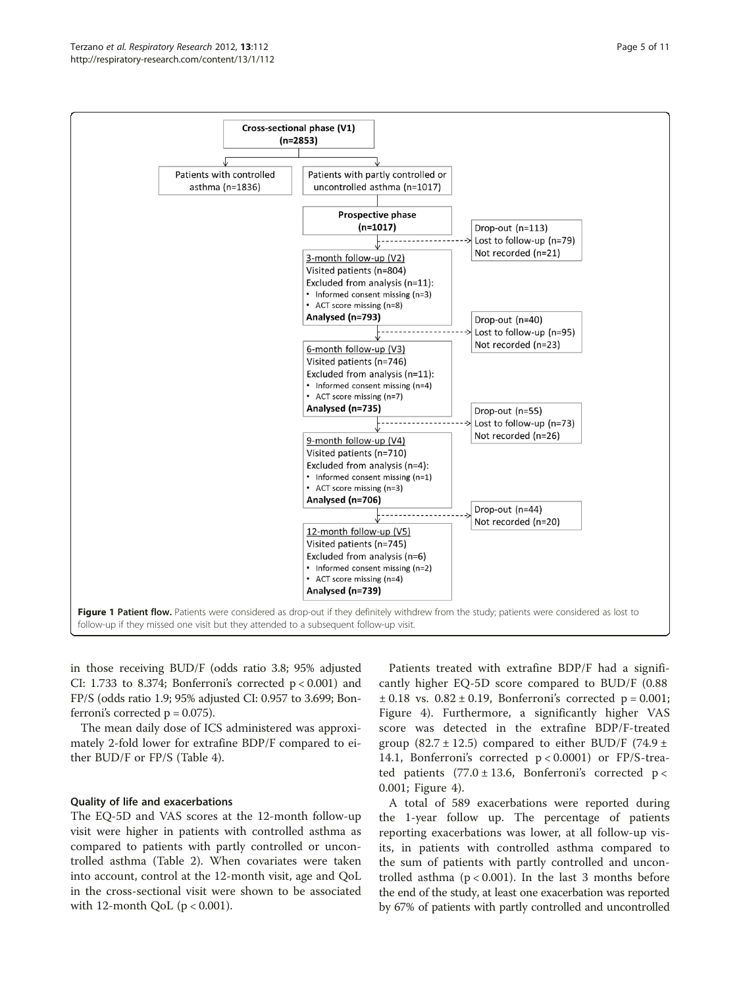<span id="page-4-0"></span>

in those receiving BUD/F (odds ratio 3.8; 95% adjusted CI: 1.733 to 8.374; Bonferroni's corrected  $p < 0.001$ ) and FP/S (odds ratio 1.9; 95% adjusted CI: 0.957 to 3.699; Bonferroni's corrected  $p = 0.075$ ).

The mean daily dose of ICS administered was approximately 2-fold lower for extrafine BDP/F compared to either BUD/F or FP/S (Table [4](#page-6-0)).

#### Quality of life and exacerbations

The EQ-5D and VAS scores at the 12-month follow-up visit were higher in patients with controlled asthma as compared to patients with partly controlled or uncontrolled asthma (Table [2](#page-5-0)). When covariates were taken into account, control at the 12-month visit, age and QoL in the cross-sectional visit were shown to be associated with 12-month QoL ( $p < 0.001$ ).

Patients treated with extrafine BDP/F had a significantly higher EQ-5D score compared to BUD/F (0.88  $± 0.18$  vs.  $0.82 ± 0.19$ , Bonferroni's corrected  $p = 0.001$ ; Figure [4](#page-7-0)). Furthermore, a significantly higher VAS score was detected in the extrafine BDP/F-treated group (82.7  $\pm$  12.5) compared to either BUD/F (74.9  $\pm$ 14.1, Bonferroni's corrected p < 0.0001) or FP/S-treated patients (77.0  $\pm$  13.6, Bonferroni's corrected p < 0.001; Figure [4](#page-7-0)).

A total of 589 exacerbations were reported during the 1-year follow up. The percentage of patients reporting exacerbations was lower, at all follow-up visits, in patients with controlled asthma compared to the sum of patients with partly controlled and uncontrolled asthma  $(p < 0.001)$ . In the last 3 months before the end of the study, at least one exacerbation was reported by 67% of patients with partly controlled and uncontrolled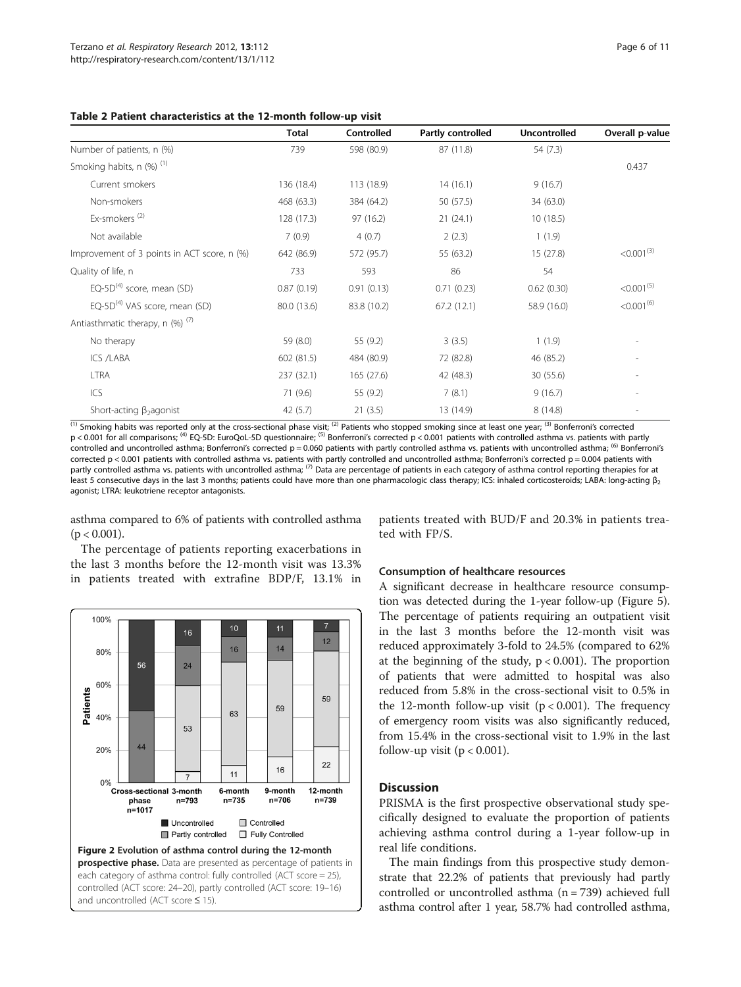<span id="page-5-0"></span>

|                                             | Total       | Controlled  | Partly controlled | <b>Uncontrolled</b> | Overall p-value        |
|---------------------------------------------|-------------|-------------|-------------------|---------------------|------------------------|
| Number of patients, n (%)                   | 739         | 598 (80.9)  | 87 (11.8)         | 54 (7.3)            |                        |
| Smoking habits, n (%) <sup>(1)</sup>        |             |             |                   |                     | 0.437                  |
| Current smokers                             | 136 (18.4)  | 113 (18.9)  | 14(16.1)          | 9(16.7)             |                        |
| Non-smokers                                 | 468 (63.3)  | 384 (64.2)  | 50 (57.5)         | 34 (63.0)           |                        |
| Ex-smokers <sup>(2)</sup>                   | 128 (17.3)  | 97 (16.2)   | 21(24.1)          | 10(18.5)            |                        |
| Not available                               | 7(0.9)      | 4(0.7)      | 2(2.3)            | 1(1.9)              |                        |
| Improvement of 3 points in ACT score, n (%) | 642 (86.9)  | 572 (95.7)  | 55 (63.2)         | 15(27.8)            | < 0.001 <sup>(3)</sup> |
| Quality of life, n                          | 733         | 593         | 86                | 54                  |                        |
| $EQ-5D(4)$ score, mean (SD)                 | 0.87(0.19)  | 0.91(0.13)  | 0.71(0.23)        | 0.62(0.30)          | < 0.001 <sup>(5)</sup> |
| $EQ-5D(4)$ VAS score, mean (SD)             | 80.0 (13.6) | 83.8 (10.2) | 67.2(12.1)        | 58.9 (16.0)         | < 0.001 <sup>(6)</sup> |
| Antiasthmatic therapy, n (%) <sup>(7)</sup> |             |             |                   |                     |                        |
| No therapy                                  | 59 (8.0)    | 55(9.2)     | 3(3.5)            | 1(1.9)              |                        |
| <b>ICS /LABA</b>                            | 602 (81.5)  | 484 (80.9)  | 72 (82.8)         | 46 (85.2)           |                        |
| <b>LTRA</b>                                 | 237(32.1)   | 165 (27.6)  | 42 (48.3)         | 30 (55.6)           |                        |
| ICS                                         | 71(9.6)     | 55 (9.2)    | 7(8.1)            | 9(16.7)             |                        |
| Short-acting $\beta_2$ agonist              | 42(5.7)     | 21(3.5)     | 13 (14.9)         | 8(14.8)             |                        |

 $\overline{^{(1)}}$  Smoking habits was reported only at the cross-sectional phase visit; <sup>(2)</sup> Patients who stopped smoking since at least one year; <sup>(3)</sup> Bonferroni's corrected  $p$  < 0.001 for all comparisons; <sup>(4)</sup> EQ-5D: EuroQoL-5D questionnaire; <sup>(5)</sup> Bonferroni's corrected  $p$  < 0.001 patients with controlled asthma vs. patients with partly controlled and uncontrolled asthma; Bonferroni's corrected p = 0.060 patients with partly controlled asthma vs. patients with uncontrolled asthma; <sup>(6)</sup> Bonferroni's corrected  $p < 0.001$  patients with controlled asthma vs. patients with partly controlled and uncontrolled asthma; Bonferroni's corrected  $p = 0.004$  patients with partly controlled asthma vs. patients with uncontrolled asthma; <sup>(7)</sup> Data are percentage of patients in each category of asthma control reporting therapies for at least 5 consecutive days in the last 3 months; patients could have more than one pharmacologic class therapy; ICS: inhaled corticosteroids; LABA: long-acting  $\beta_2$ agonist; LTRA: leukotriene receptor antagonists.

asthma compared to 6% of patients with controlled asthma  $(p < 0.001)$ .

The percentage of patients reporting exacerbations in the last 3 months before the 12-month visit was 13.3% in patients treated with extrafine BDP/F, 13.1% in



patients treated with BUD/F and 20.3% in patients treated with FP/S.

#### Consumption of healthcare resources

A significant decrease in healthcare resource consumption was detected during the 1-year follow-up (Figure [5](#page-7-0)). The percentage of patients requiring an outpatient visit in the last 3 months before the 12-month visit was reduced approximately 3-fold to 24.5% (compared to 62% at the beginning of the study,  $p < 0.001$ ). The proportion of patients that were admitted to hospital was also reduced from 5.8% in the cross-sectional visit to 0.5% in the 12-month follow-up visit  $(p < 0.001)$ . The frequency of emergency room visits was also significantly reduced, from 15.4% in the cross-sectional visit to 1.9% in the last follow-up visit ( $p < 0.001$ ).

# Discussion

PRISMA is the first prospective observational study specifically designed to evaluate the proportion of patients achieving asthma control during a 1-year follow-up in real life conditions.

The main findings from this prospective study demonstrate that 22.2% of patients that previously had partly controlled or uncontrolled asthma (n = 739) achieved full asthma control after 1 year, 58.7% had controlled asthma,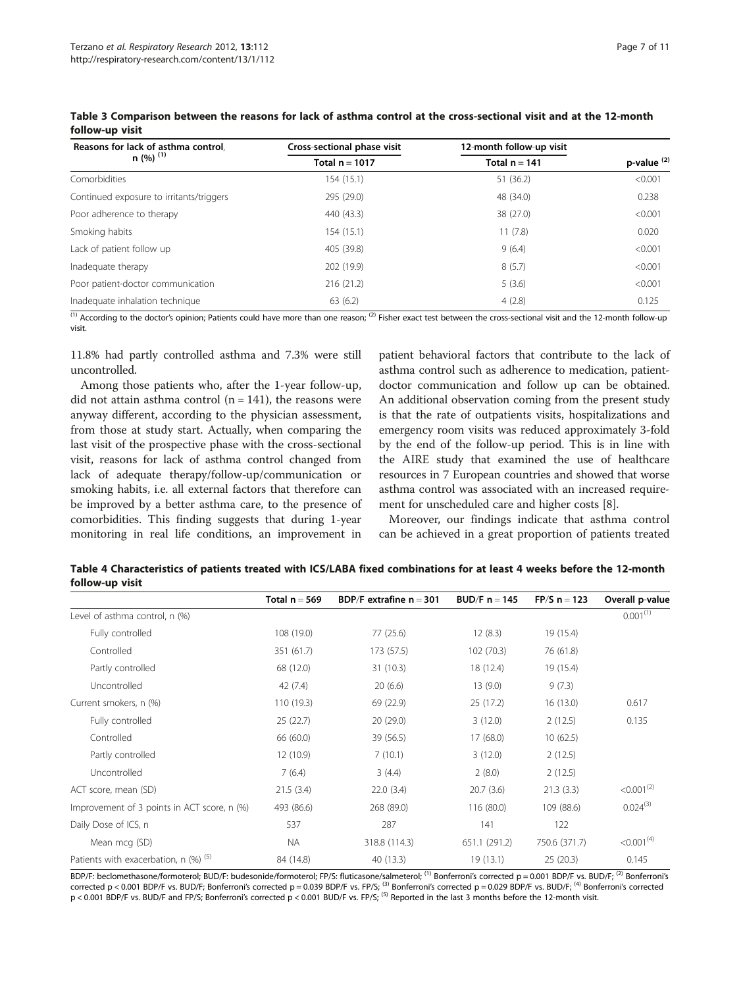| Reasons for lack of asthma control.      | Cross-sectional phase visit | 12-month follow-up visit |                        |  |
|------------------------------------------|-----------------------------|--------------------------|------------------------|--|
| $n$ (%) $^{(1)}$                         | Total $n = 1017$            | Total $n = 141$          | p-value <sup>(2)</sup> |  |
| Comorbidities                            | 154 (15.1)                  | 51 (36.2)                | < 0.001                |  |
| Continued exposure to irritants/triggers | 295 (29.0)                  | 48 (34.0)                | 0.238                  |  |
| Poor adherence to therapy                | 440 (43.3)                  | 38 (27.0)                | < 0.001                |  |
| Smoking habits                           | 154 (15.1)                  | 11(7.8)                  | 0.020                  |  |
| Lack of patient follow up                | 405 (39.8)                  | 9(6.4)                   | < 0.001                |  |
| Inadequate therapy                       | 202 (19.9)                  | 8(5.7)                   | < 0.001                |  |
| Poor patient-doctor communication        | 216(21.2)                   | 5(3.6)                   | < 0.001                |  |
| Inadequate inhalation technique          | 63(6.2)                     | 4(2.8)                   | 0.125                  |  |

<span id="page-6-0"></span>Table 3 Comparison between the reasons for lack of asthma control at the cross-sectional visit and at the 12-month follow-up visit

 $\frac{(1)}{(1)}$  According to the doctor's opinion; Patients could have more than one reason; <sup>(2)</sup> Fisher exact test between the cross-sectional visit and the 12-month follow-up visit.

11.8% had partly controlled asthma and 7.3% were still uncontrolled.

Among those patients who, after the 1-year follow-up, did not attain asthma control ( $n = 141$ ), the reasons were anyway different, according to the physician assessment, from those at study start. Actually, when comparing the last visit of the prospective phase with the cross-sectional visit, reasons for lack of asthma control changed from lack of adequate therapy/follow-up/communication or smoking habits, i.e. all external factors that therefore can be improved by a better asthma care, to the presence of comorbidities. This finding suggests that during 1-year monitoring in real life conditions, an improvement in

patient behavioral factors that contribute to the lack of asthma control such as adherence to medication, patientdoctor communication and follow up can be obtained. An additional observation coming from the present study is that the rate of outpatients visits, hospitalizations and emergency room visits was reduced approximately 3-fold by the end of the follow-up period. This is in line with the AIRE study that examined the use of healthcare resources in 7 European countries and showed that worse asthma control was associated with an increased requirement for unscheduled care and higher costs [[8](#page-9-0)].

Moreover, our findings indicate that asthma control can be achieved in a great proportion of patients treated

|                                                    | Total $n = 569$ | BDP/F extrafine $n = 301$ | $BUD/F n = 145$ | $FP/S n = 123$ | Overall p-value        |
|----------------------------------------------------|-----------------|---------------------------|-----------------|----------------|------------------------|
| Level of asthma control, n (%)                     |                 |                           |                 |                | $0.001^{(1)}$          |
| Fully controlled                                   | 108 (19.0)      | 77 (25.6)                 | 12(8.3)         | 19 (15.4)      |                        |
| Controlled                                         | 351 (61.7)      | 173 (57.5)                | 102 (70.3)      | 76 (61.8)      |                        |
| Partly controlled                                  | 68 (12.0)       | 31(10.3)                  | 18 (12.4)       | 19 (15.4)      |                        |
| Uncontrolled                                       | 42(7.4)         | 20(6.6)                   | 13(9.0)         | 9(7.3)         |                        |
| Current smokers, n (%)                             | 110(19.3)       | 69 (22.9)                 | 25(17.2)        | 16 (13.0)      | 0.617                  |
| Fully controlled                                   | 25(22.7)        | 20(29.0)                  | 3(12.0)         | 2(12.5)        | 0.135                  |
| Controlled                                         | 66 (60.0)       | 39 (56.5)                 | 17(68.0)        | 10(62.5)       |                        |
| Partly controlled                                  | 12(10.9)        | 7(10.1)                   | 3(12.0)         | 2(12.5)        |                        |
| Uncontrolled                                       | 7(6.4)          | 3(4.4)                    | 2(8.0)          | 2(12.5)        |                        |
| ACT score, mean (SD)                               | 21.5(3.4)       | 22.0(3.4)                 | 20.7(3.6)       | 21.3(3.3)      | < 0.001 <sup>(2)</sup> |
| Improvement of 3 points in ACT score, n (%)        | 493 (86.6)      | 268 (89.0)                | 116 (80.0)      | 109 (88.6)     | $0.024^{(3)}$          |
| Daily Dose of ICS, n                               | 537             | 287                       | 141             | 122            |                        |
| Mean mcg (SD)                                      | NA.             | 318.8 (114.3)             | 651.1 (291.2)   | 750.6 (371.7)  | < 0.001 <sup>(4)</sup> |
| Patients with exacerbation, $n$ (%) <sup>(5)</sup> | 84 (14.8)       | 40 (13.3)                 | 19(13.1)        | 25(20.3)       | 0.145                  |

Table 4 Characteristics of patients treated with ICS/LABA fixed combinations for at least 4 weeks before the 12-month follow-up visit

BDP/F: beclomethasone/formoterol; BUD/F: budesonide/formoterol; FP/S: fluticasone/salmeterol; <sup>(1)</sup> Bonferroni's corrected p = 0.001 BDP/F vs. BUD/F; <sup>(2)</sup> Bonferroni's corrected p < 0.001 BDP/F vs. BUD/F; Bonferroni's corrected p = 0.039 BDP/F vs. FP/S; <sup>(3)</sup> Bonferroni's corrected p = 0.029 BDP/F vs. BUD/F; <sup>(4)</sup> Bonferroni's corrected p = 0.029 BDP/F vs. BUD/F; <sup>(4)</sup> Bonferroni's corre p < 0.001 BDP/F vs. BUD/F and FP/S; Bonferroni's corrected p < 0.001 BUD/F vs. FP/S; (5) Reported in the last 3 months before the 12-month visit.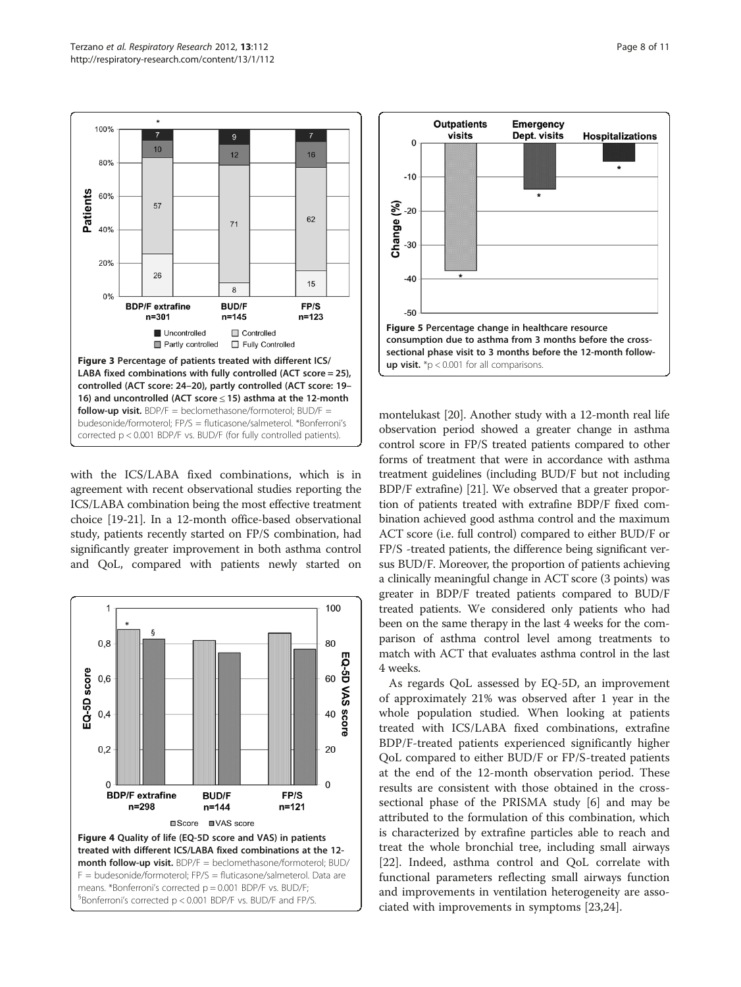<span id="page-7-0"></span>

with the ICS/LABA fixed combinations, which is in agreement with recent observational studies reporting the ICS/LABA combination being the most effective treatment choice [\[19-21](#page-9-0)]. In a 12-month office-based observational study, patients recently started on FP/S combination, had significantly greater improvement in both asthma control and QoL, compared with patients newly started on





montelukast [\[20\]](#page-9-0). Another study with a 12-month real life observation period showed a greater change in asthma control score in FP/S treated patients compared to other forms of treatment that were in accordance with asthma treatment guidelines (including BUD/F but not including BDP/F extrafine) [\[21\]](#page-9-0). We observed that a greater proportion of patients treated with extrafine BDP/F fixed combination achieved good asthma control and the maximum ACT score (i.e. full control) compared to either BUD/F or FP/S -treated patients, the difference being significant versus BUD/F. Moreover, the proportion of patients achieving a clinically meaningful change in ACT score (3 points) was greater in BDP/F treated patients compared to BUD/F treated patients. We considered only patients who had been on the same therapy in the last 4 weeks for the comparison of asthma control level among treatments to match with ACT that evaluates asthma control in the last 4 weeks.

As regards QoL assessed by EQ-5D, an improvement of approximately 21% was observed after 1 year in the whole population studied. When looking at patients treated with ICS/LABA fixed combinations, extrafine BDP/F-treated patients experienced significantly higher QoL compared to either BUD/F or FP/S-treated patients at the end of the 12-month observation period. These results are consistent with those obtained in the crosssectional phase of the PRISMA study [[6\]](#page-9-0) and may be attributed to the formulation of this combination, which is characterized by extrafine particles able to reach and treat the whole bronchial tree, including small airways [[22\]](#page-9-0). Indeed, asthma control and QoL correlate with functional parameters reflecting small airways function and improvements in ventilation heterogeneity are associated with improvements in symptoms [\[23,24\]](#page-9-0).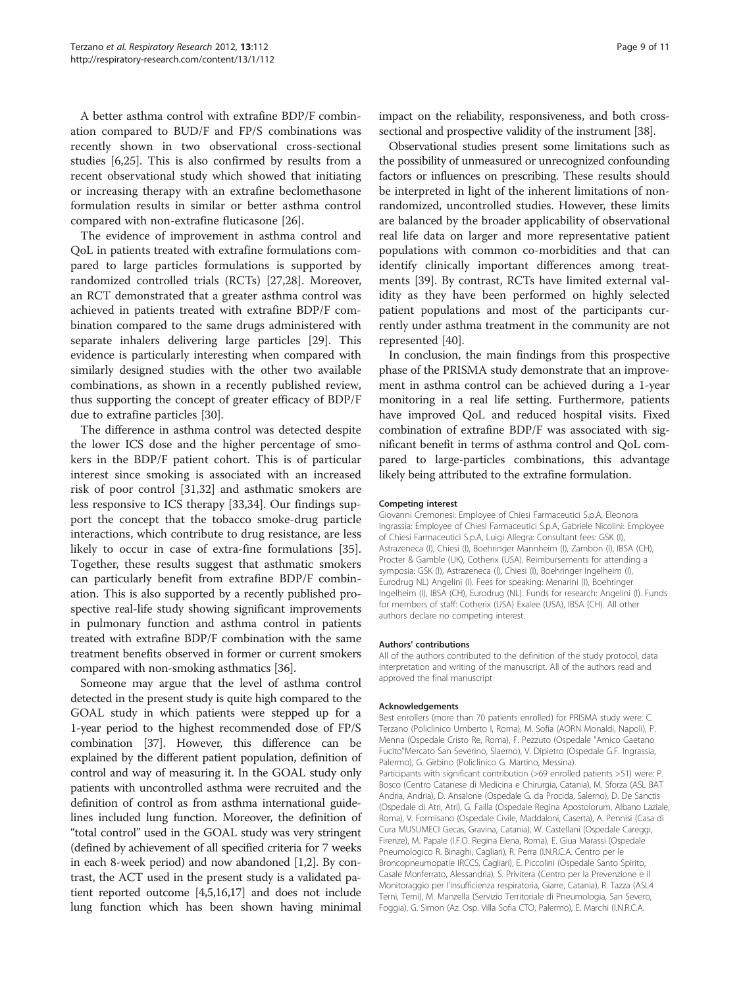A better asthma control with extrafine BDP/F combination compared to BUD/F and FP/S combinations was recently shown in two observational cross-sectional studies [\[6,25](#page-9-0)]. This is also confirmed by results from a recent observational study which showed that initiating or increasing therapy with an extrafine beclomethasone formulation results in similar or better asthma control compared with non-extrafine fluticasone [\[26](#page-9-0)].

The evidence of improvement in asthma control and QoL in patients treated with extrafine formulations compared to large particles formulations is supported by randomized controlled trials (RCTs) [\[27,28](#page-9-0)]. Moreover, an RCT demonstrated that a greater asthma control was achieved in patients treated with extrafine BDP/F combination compared to the same drugs administered with separate inhalers delivering large particles [[29\]](#page-10-0). This evidence is particularly interesting when compared with similarly designed studies with the other two available combinations, as shown in a recently published review, thus supporting the concept of greater efficacy of BDP/F due to extrafine particles [[30\]](#page-10-0).

The difference in asthma control was detected despite the lower ICS dose and the higher percentage of smokers in the BDP/F patient cohort. This is of particular interest since smoking is associated with an increased risk of poor control [\[31,32\]](#page-10-0) and asthmatic smokers are less responsive to ICS therapy [[33,34\]](#page-10-0). Our findings support the concept that the tobacco smoke-drug particle interactions, which contribute to drug resistance, are less likely to occur in case of extra-fine formulations [\[35](#page-10-0)]. Together, these results suggest that asthmatic smokers can particularly benefit from extrafine BDP/F combination. This is also supported by a recently published prospective real-life study showing significant improvements in pulmonary function and asthma control in patients treated with extrafine BDP/F combination with the same treatment benefits observed in former or current smokers compared with non-smoking asthmatics [\[36\]](#page-10-0).

Someone may argue that the level of asthma control detected in the present study is quite high compared to the GOAL study in which patients were stepped up for a 1-year period to the highest recommended dose of FP/S combination [\[37](#page-10-0)]. However, this difference can be explained by the different patient population, definition of control and way of measuring it. In the GOAL study only patients with uncontrolled asthma were recruited and the definition of control as from asthma international guidelines included lung function. Moreover, the definition of "total control" used in the GOAL study was very stringent (defined by achievement of all specified criteria for 7 weeks in each 8-week period) and now abandoned [\[1,2](#page-9-0)]. By contrast, the ACT used in the present study is a validated patient reported outcome [[4,5,16,17](#page-9-0)] and does not include lung function which has been shown having minimal

impact on the reliability, responsiveness, and both crosssectional and prospective validity of the instrument [[38](#page-10-0)].

Observational studies present some limitations such as the possibility of unmeasured or unrecognized confounding factors or influences on prescribing. These results should be interpreted in light of the inherent limitations of nonrandomized, uncontrolled studies. However, these limits are balanced by the broader applicability of observational real life data on larger and more representative patient populations with common co-morbidities and that can identify clinically important differences among treatments [\[39](#page-10-0)]. By contrast, RCTs have limited external validity as they have been performed on highly selected patient populations and most of the participants currently under asthma treatment in the community are not represented [\[40](#page-10-0)].

In conclusion, the main findings from this prospective phase of the PRISMA study demonstrate that an improvement in asthma control can be achieved during a 1-year monitoring in a real life setting. Furthermore, patients have improved QoL and reduced hospital visits. Fixed combination of extrafine BDP/F was associated with significant benefit in terms of asthma control and QoL compared to large-particles combinations, this advantage likely being attributed to the extrafine formulation.

#### Competing interest

Giovanni Cremonesi: Employee of Chiesi Farmaceutici S.p.A, Eleonora Ingrassia: Employee of Chiesi Farmaceutici S.p.A, Gabriele Nicolini: Employee of Chiesi Farmaceutici S.p.A, Luigi Allegra: Consultant fees: GSK (I), Astrazeneca (I), Chiesi (I), Boehringer Mannheim (I), Zambon (I), IBSA (CH), Procter & Gamble (UK), Cotherix (USA). Reimbursements for attending a symposia: GSK (I), Astrazeneca (I), Chiesi (I), Boehringer Ingelheim (I), Eurodrug NL) Angelini (I). Fees for speaking: Menarini (I), Boehringer Ingelheim (I), IBSA (CH), Eurodrug (NL). Funds for research: Angelini (I). Funds for members of staff: Cotherix (USA) Exalee (USA), IBSA (CH). All other authors declare no competing interest.

#### Authors' contributions

All of the authors contributed to the definition of the study protocol, data interpretation and writing of the manuscript. All of the authors read and approved the final manuscript

#### Acknowledgements

Best enrollers (more than 70 patients enrolled) for PRISMA study were: C. Terzano (Policlinico Umberto I, Roma), M. Sofia (AORN Monaldi, Napoli), P. Menna (Ospedale Cristo Re, Roma), F. Pezzuto (Ospedale "Amico Gaetano Fucito"Mercato San Severino, Slaerno), V. Dipietro (Ospedale G.F. Ingrassia, Palermo), G. Girbino (Policlinico G. Martino, Messina). Participants with significant contribution (>69 enrolled patients >51) were: P. Bosco (Centro Catanese di Medicina e Chirurgia, Catania), M. Sforza (ASL BAT Andria, Andria), D. Ansalone (Ospedale G. da Procida, Salerno), D. De Sanctis (Ospedale di Atri, Atri), G. Failla (Ospedale Regina Apostolorum, Albano Laziale, Roma), V. Formisano (Ospedale Civile, Maddaloni, Caserta), A. Pennisi (Casa di Cura MUSUMECI Gecas, Gravina, Catania), W. Castellani (Ospedale Careggi, Firenze), M. Papale (I.F.O. Regina Elena, Roma), E. Giua Marassi (Ospedale Pneumologico R. Binaghi, Cagliari), R. Perra (I.N.R.C.A. Centro per le Broncopneumopatie IRCCS, Cagliari), E. Piccolini (Ospedale Santo Spirito, Casale Monferrato, Alessandria), S. Privitera (Centro per la Prevenzione e il Monitoraggio per l'insufficienza respiratoria, Giarre, Catania), R. Tazza (ASL4 Terni, Terni), M. Manzella (Servizio Territoriale di Pneumologia, San Severo, Foggia), G. Simon (Az. Osp. Villa Sofia CTO, Palermo), E. Marchi (I.N.R.C.A.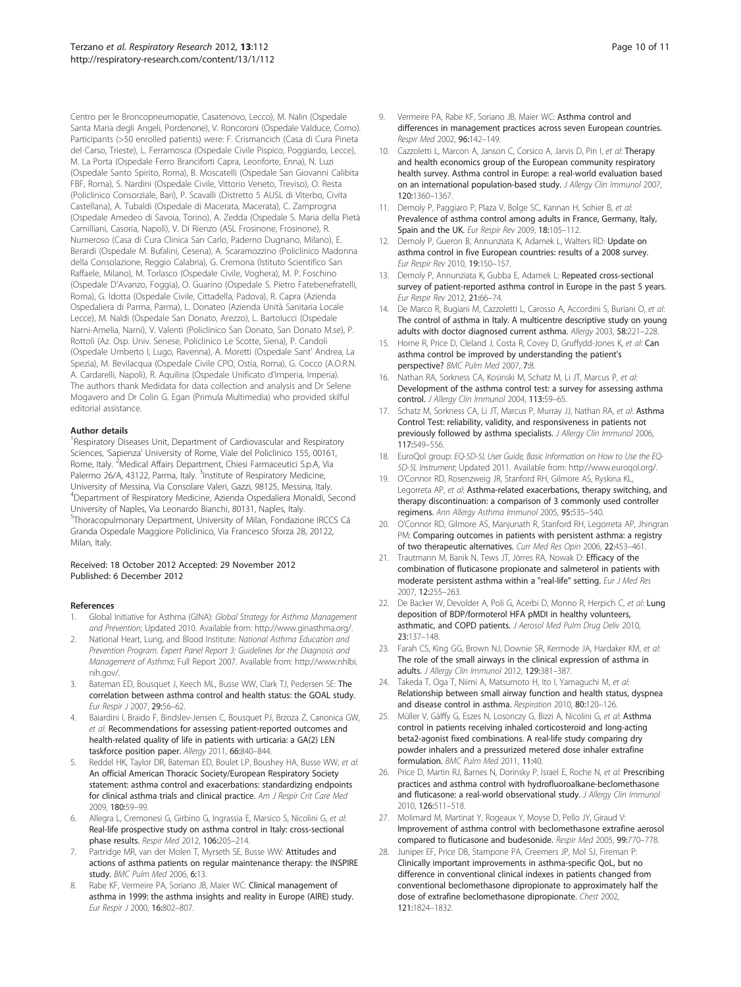<span id="page-9-0"></span>Centro per le Broncopneumopatie, Casatenovo, Lecco), M. Nalin (Ospedale Santa Maria degli Angeli, Pordenone), V. Roncoroni (Ospedale Valduce, Como). Participants (>50 enrolled patients) were: F. Crismancich (Casa di Cura Pineta del Carso, Trieste), L. Ferramosca (Ospedale Civile Pispico, Poggiardo, Lecce), M. La Porta (Ospedale Ferro Branciforti Capra, Leonforte, Enna), N. Luzi (Ospedale Santo Spirito, Roma), B. Moscatelli (Ospedale San Giovanni Calibita FBF, Roma), S. Nardini (Ospedale Civile, Vittorio Veneto, Treviso), O. Resta (Policlinico Consorziale, Bari), P. Scavalli (Distretto 5 AUSL di Viterbo, Civita Castellana), A. Tubaldi (Ospedale di Macerata, Macerata), C. Zamprogna (Ospedale Amedeo di Savoia, Torino), A. Zedda (Ospedale S. Maria della Pietà Camilliani, Casoria, Napoli), V. Di Rienzo (ASL Frosinone, Frosinone), R. Numeroso (Casa di Cura Clinica San Carlo, Paderno Dugnano, Milano), E. Berardi (Ospedale M. Bufalini, Cesena), A. Scaramozzino (Policlinico Madonna della Consolazione, Reggio Calabria), G. Cremona (Istituto Scientifico San Raffaele, Milano), M. Torlasco (Ospedale Civile, Voghera), M. P. Foschino (Ospedale D'Avanzo, Foggia), O. Guarino (Ospedale S. Pietro Fatebenefratelli, Roma), G. Idotta (Ospedale Civile, Cittadella, Padova), R. Capra (Azienda Ospedaliera di Parma, Parma), L. Donateo (Azienda Unità Sanitaria Locale Lecce), M. Naldi (Ospedale San Donato, Arezzo), L. Bartolucci (Ospedale Narni-Amelia, Narni), V. Valenti (Policlinico San Donato, San Donato M.se), P. Rottoli (Az. Osp. Univ. Senese, Policlinico Le Scotte, Siena), P. Candoli (Ospedale Umberto I, Lugo, Ravenna), A. Moretti (Ospedale Sant' Andrea, La Spezia), M. Bevilacqua (Ospedale Civile CPO, Ostia, Roma), G. Cocco (A.O.R.N. A. Cardarelli, Napoli), R. Aquilina (Ospedale Unificato d'Imperia, Imperia). The authors thank Medidata for data collection and analysis and Dr Selene Mogavero and Dr Colin G. Egan (Primula Multimedia) who provided skilful editorial assistance.

#### Author details

<sup>1</sup> Respiratory Diseases Unit, Department of Cardiovascular and Respiratory Sciences, 'Sapienza' University of Rome, Viale del Policlinico 155, 00161, Rome, Italy. <sup>2</sup>Medical Affairs Department, Chiesi Farmaceutici S.p.A, Via Palermo 26/A, 43122, Parma, Italy. <sup>3</sup>Institute of Respiratory Medicine, University of Messina, Via Consolare Valeri, Gazzi, 98125, Messina, Italy. 4 Department of Respiratory Medicine, Azienda Ospedaliera Monaldi, Second University of Naples, Via Leonardo Bianchi, 80131, Naples, Italy. 5 Thoracopulmonary Department, University of Milan, Fondazione IRCCS Cá Granda Ospedale Maggiore Policlinico, Via Francesco Sforza 28, 20122, Milan, Italy.

#### Received: 18 October 2012 Accepted: 29 November 2012 Published: 6 December 2012

#### References

- Global Initiative for Asthma (GINA): Global Strategy for Asthma Management and Prevention; Updated 2010. Available from: [http://www.ginasthma.org/.](http://www.ginasthma.org/)
- 2. National Heart, Lung, and Blood Institute: National Asthma Education and Prevention Program. Expert Panel Report 3: Guidelines for the Diagnosis and Management of Asthma; Full Report 2007. Available from: [http://www.nhlbi.](http://www.nhlbi.nih.gov/) [nih.gov/](http://www.nhlbi.nih.gov/).
- 3. Bateman ED, Bousquet J, Keech ML, Busse WW, Clark TJ, Pedersen SE: The correlation between asthma control and health status: the GOAL study. Eur Respir J 2007, 29:56–62.
- 4. Baiardini I, Braido F, Bindslev-Jensen C, Bousquet PJ, Brzoza Z, Canonica GW, et al: Recommendations for assessing patient-reported outcomes and health-related quality of life in patients with urticaria: a GA(2) LEN taskforce position paper. Allergy 2011, 66:840–844.
- Reddel HK, Taylor DR, Bateman ED, Boulet LP, Boushey HA, Busse WW, et al: An official American Thoracic Society/European Respiratory Society statement: asthma control and exacerbations: standardizing endpoints for clinical asthma trials and clinical practice. Am J Respir Crit Care Med 2009, 180:59–99.
- 6. Allegra L, Cremonesi G, Girbino G, Ingrassia E, Marsico S, Nicolini G, et al: Real-life prospective study on asthma control in Italy: cross-sectional phase results. Respir Med 2012, 106:205–214.
- Partridge MR, van der Molen T, Myrseth SE, Busse WW: Attitudes and actions of asthma patients on regular maintenance therapy: the INSPIRE study. BMC Pulm Med 2006, 6:13.
- 8. Rabe KF, Vermeire PA, Soriano JB, Maier WC: Clinical management of asthma in 1999: the asthma insights and reality in Europe (AIRE) study. Eur Respir J 2000, 16:802–807.
- 9. Vermeire PA, Rabe KF, Soriano JB, Maier WC: Asthma control and differences in management practices across seven European countries. Respir Med 2002, 96:142–149.
- 10. Cazzoletti L, Marcon A, Janson C, Corsico A, Jarvis D, Pin I, et al: Therapy and health economics group of the European community respiratory health survey. Asthma control in Europe: a real-world evaluation based on an international population-based study. J Allergy Clin Immunol 2007, 120:1360–1367.
- 11. Demoly P, Paggiaro P, Plaza V, Bolge SC, Kannan H, Sohier B, et al: Prevalence of asthma control among adults in France, Germany, Italy, Spain and the UK. Eur Respir Rev 2009, 18:105-112.
- 12. Demoly P, Gueron B, Annunziata K, Adamek L, Walters RD: Update on asthma control in five European countries: results of a 2008 survey. Eur Respir Rev 2010, 19:150–157.
- 13. Demoly P, Annunziata K, Gubba E, Adamek L: Repeated cross-sectional survey of patient-reported asthma control in Europe in the past 5 years. Eur Respir Rev 2012, 21:66–74.
- 14. De Marco R, Bugiani M, Cazzoletti L, Carosso A, Accordini S, Buriani O, et al: The control of asthma in Italy. A multicentre descriptive study on young adults with doctor diagnosed current asthma. Allergy 2003, 58:221–228.
- 15. Horne R, Price D, Cleland J, Costa R, Covey D, Gruffydd-Jones K, et al: Can asthma control be improved by understanding the patient's perspective? BMC Pulm Med 2007, 7:8.
- 16. Nathan RA, Sorkness CA, Kosinski M, Schatz M, Li JT, Marcus P, et al: Development of the asthma control test: a survey for assessing asthma control. J Allergy Clin Immunol 2004, 113:59–65.
- 17. Schatz M, Sorkness CA, Li JT, Marcus P, Murray JJ, Nathan RA, et al: Asthma Control Test: reliability, validity, and responsiveness in patients not previously followed by asthma specialists. J Allergy Clin Immunol 2006, 117:549–556.
- 18. EuroQol group: EQ-5D-5L User Guide, Basic Information on How to Use the EQ-5D-5L Instrument; Updated 2011. Available from:<http://www.euroqol.org/>.
- 19. O'Connor RD, Rosenzweig JR, Stanford RH, Gilmore AS, Ryskina KL, Legorreta AP, et al: Asthma-related exacerbations, therapy switching, and therapy discontinuation: a comparison of 3 commonly used controller regimens. Ann Allergy Asthma Immunol 2005, 95:535–540.
- 20. O'Connor RD, Gilmore AS, Manjunath R, Stanford RH, Legorreta AP, Jhingran PM: Comparing outcomes in patients with persistent asthma: a registry of two therapeutic alternatives. Curr Med Res Opin 2006, 22:453–461.
- 21. Trautmann M, Banik N, Tews JT, Jörres RA, Nowak D: Efficacy of the combination of fluticasone propionate and salmeterol in patients with moderate persistent asthma within a "real-life" setting. Eur J Med Res 2007, 12:255–263.
- 22. De Backer W, Devolder A, Poli G, Acerbi D, Monno R, Herpich C, et al: Lung deposition of BDP/formoterol HFA pMDI in healthy volunteers, asthmatic, and COPD patients. J Aerosol Med Pulm Drug Deliv 2010, 23:137–148.
- 23. Farah CS, King GG, Brown NJ, Downie SR, Kermode JA, Hardaker KM, et al: The role of the small airways in the clinical expression of asthma in adults. J Allergy Clin Immunol 2012, 129:381–387.
- 24. Takeda T, Oga T, Niimi A, Matsumoto H, Ito I, Yamaguchi M, et al: Relationship between small airway function and health status, dyspnea and disease control in asthma. Respiration 2010, 80:120-126.
- 25. Müller V, Gálffy G, Eszes N, Losonczy G, Bizzi A, Nicolini G, et al: Asthma control in patients receiving inhaled corticosteroid and long-acting beta2-agonist fixed combinations. A real-life study comparing dry powder inhalers and a pressurized metered dose inhaler extrafine formulation. BMC Pulm Med 2011, 11:40.
- 26. Price D, Martin RJ, Barnes N, Dorinsky P, Israel E, Roche N, et al: Prescribing practices and asthma control with hydrofluoroalkane-beclomethasone and fluticasone: a real-world observational study. J Allergy Clin Immunol 2010, 126:511–518.
- 27. Molimard M, Martinat Y, Rogeaux Y, Moyse D, Pello JY, Giraud V: Improvement of asthma control with beclomethasone extrafine aerosol compared to fluticasone and budesonide. Respir Med 2005, 99:770–778.
- 28. Juniper EF, Price DB, Stampone PA, Creemers JP, Mol SJ, Fireman P: Clinically important improvements in asthma-specific QoL, but no difference in conventional clinical indexes in patients changed from conventional beclomethasone dipropionate to approximately half the dose of extrafine beclomethasone dipropionate. Chest 2002, 121:1824–1832.